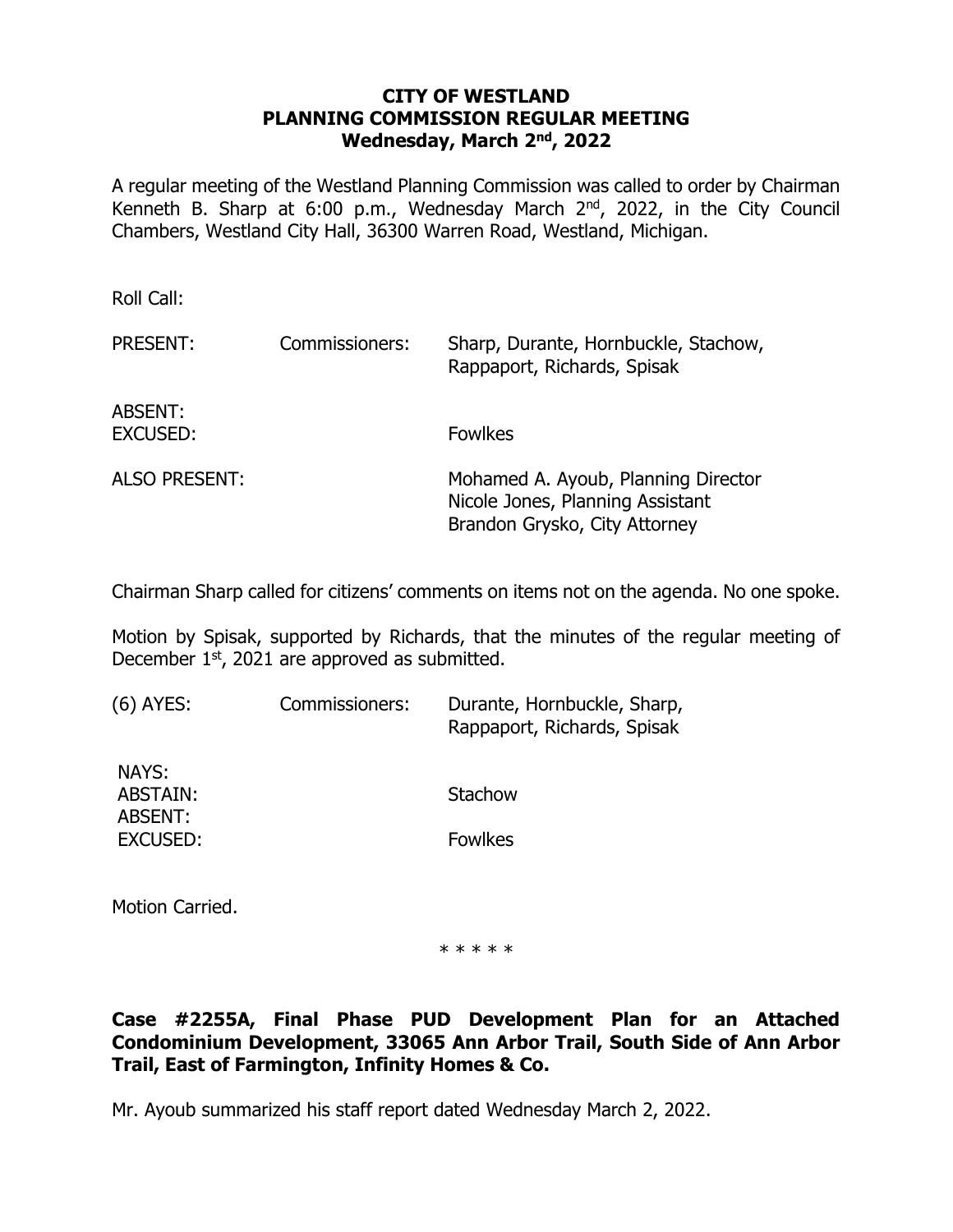#### **CITY OF WESTLAND PLANNING COMMISSION REGULAR MEETING Wednesday, March 2nd , 2022**

A regular meeting of the Westland Planning Commission was called to order by Chairman Kenneth B. Sharp at 6:00 p.m., Wednesday March 2<sup>nd</sup>, 2022, in the City Council Chambers, Westland City Hall, 36300 Warren Road, Westland, Michigan.

Roll Call:

| <b>PRESENT:</b>      | Commissioners: | Sharp, Durante, Hornbuckle, Stachow,<br>Rappaport, Richards, Spisak                                      |
|----------------------|----------------|----------------------------------------------------------------------------------------------------------|
| ABSENT:<br>EXCUSED:  |                | <b>Fowlkes</b>                                                                                           |
| <b>ALSO PRESENT:</b> |                | Mohamed A. Ayoub, Planning Director<br>Nicole Jones, Planning Assistant<br>Brandon Grysko, City Attorney |

Chairman Sharp called for citizens' comments on items not on the agenda. No one spoke.

Motion by Spisak, supported by Richards, that the minutes of the regular meeting of December  $1<sup>st</sup>$ , 2021 are approved as submitted.

| (6) AYES:                    | Commissioners: | Durante, Hornbuckle, Sharp,<br>Rappaport, Richards, Spisak |
|------------------------------|----------------|------------------------------------------------------------|
| NAYS:<br>ABSTAIN:<br>ABSENT: |                | Stachow                                                    |
| EXCUSED:                     |                | <b>Fowlkes</b>                                             |

Motion Carried.

\* \* \* \* \*

## **Case #2255A, Final Phase PUD Development Plan for an Attached Condominium Development, 33065 Ann Arbor Trail, South Side of Ann Arbor Trail, East of Farmington, Infinity Homes & Co.**

Mr. Ayoub summarized his staff report dated Wednesday March 2, 2022.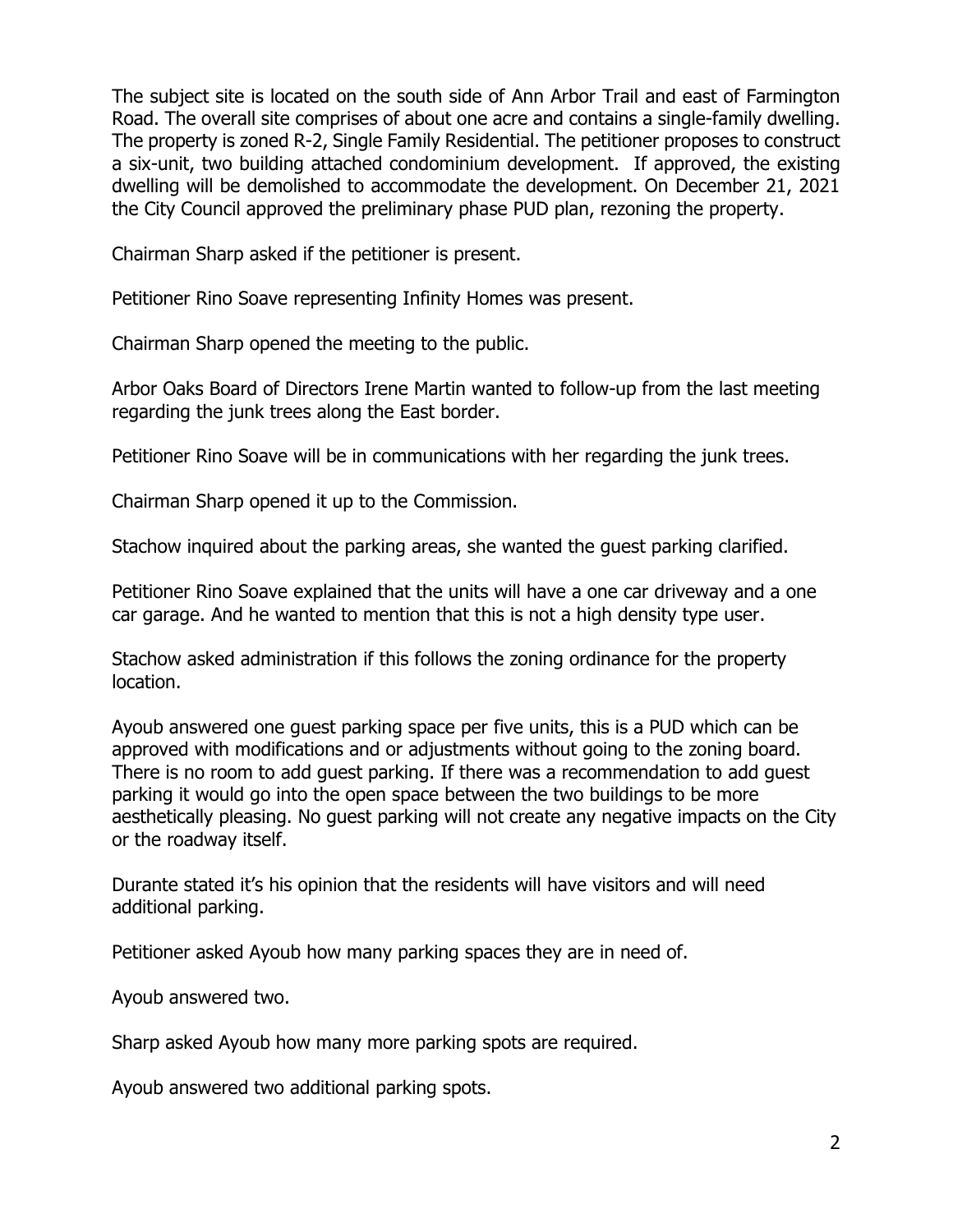The subject site is located on the south side of Ann Arbor Trail and east of Farmington Road. The overall site comprises of about one acre and contains a single-family dwelling. The property is zoned R-2, Single Family Residential. The petitioner proposes to construct a six-unit, two building attached condominium development. If approved, the existing dwelling will be demolished to accommodate the development. On December 21, 2021 the City Council approved the preliminary phase PUD plan, rezoning the property.

Chairman Sharp asked if the petitioner is present.

Petitioner Rino Soave representing Infinity Homes was present.

Chairman Sharp opened the meeting to the public.

Arbor Oaks Board of Directors Irene Martin wanted to follow-up from the last meeting regarding the junk trees along the East border.

Petitioner Rino Soave will be in communications with her regarding the junk trees.

Chairman Sharp opened it up to the Commission.

Stachow inquired about the parking areas, she wanted the guest parking clarified.

Petitioner Rino Soave explained that the units will have a one car driveway and a one car garage. And he wanted to mention that this is not a high density type user.

Stachow asked administration if this follows the zoning ordinance for the property location.

Ayoub answered one guest parking space per five units, this is a PUD which can be approved with modifications and or adjustments without going to the zoning board. There is no room to add guest parking. If there was a recommendation to add guest parking it would go into the open space between the two buildings to be more aesthetically pleasing. No guest parking will not create any negative impacts on the City or the roadway itself.

Durante stated it's his opinion that the residents will have visitors and will need additional parking.

Petitioner asked Ayoub how many parking spaces they are in need of.

Ayoub answered two.

Sharp asked Ayoub how many more parking spots are required.

Ayoub answered two additional parking spots.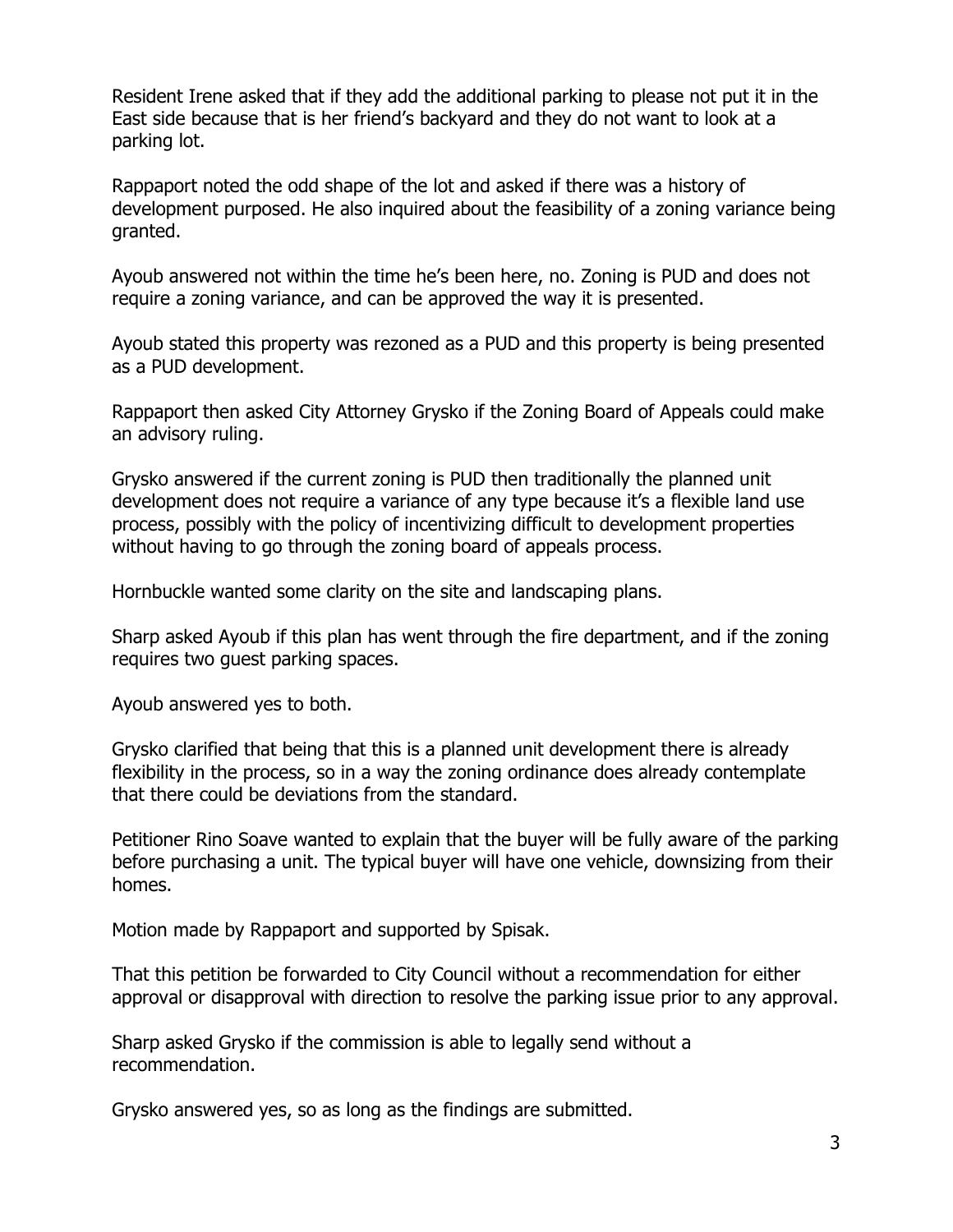Resident Irene asked that if they add the additional parking to please not put it in the East side because that is her friend's backyard and they do not want to look at a parking lot.

Rappaport noted the odd shape of the lot and asked if there was a history of development purposed. He also inquired about the feasibility of a zoning variance being granted.

Ayoub answered not within the time he's been here, no. Zoning is PUD and does not require a zoning variance, and can be approved the way it is presented.

Ayoub stated this property was rezoned as a PUD and this property is being presented as a PUD development.

Rappaport then asked City Attorney Grysko if the Zoning Board of Appeals could make an advisory ruling.

Grysko answered if the current zoning is PUD then traditionally the planned unit development does not require a variance of any type because it's a flexible land use process, possibly with the policy of incentivizing difficult to development properties without having to go through the zoning board of appeals process.

Hornbuckle wanted some clarity on the site and landscaping plans.

Sharp asked Ayoub if this plan has went through the fire department, and if the zoning requires two guest parking spaces.

Ayoub answered yes to both.

Grysko clarified that being that this is a planned unit development there is already flexibility in the process, so in a way the zoning ordinance does already contemplate that there could be deviations from the standard.

Petitioner Rino Soave wanted to explain that the buyer will be fully aware of the parking before purchasing a unit. The typical buyer will have one vehicle, downsizing from their homes.

Motion made by Rappaport and supported by Spisak.

That this petition be forwarded to City Council without a recommendation for either approval or disapproval with direction to resolve the parking issue prior to any approval.

Sharp asked Grysko if the commission is able to legally send without a recommendation.

Grysko answered yes, so as long as the findings are submitted.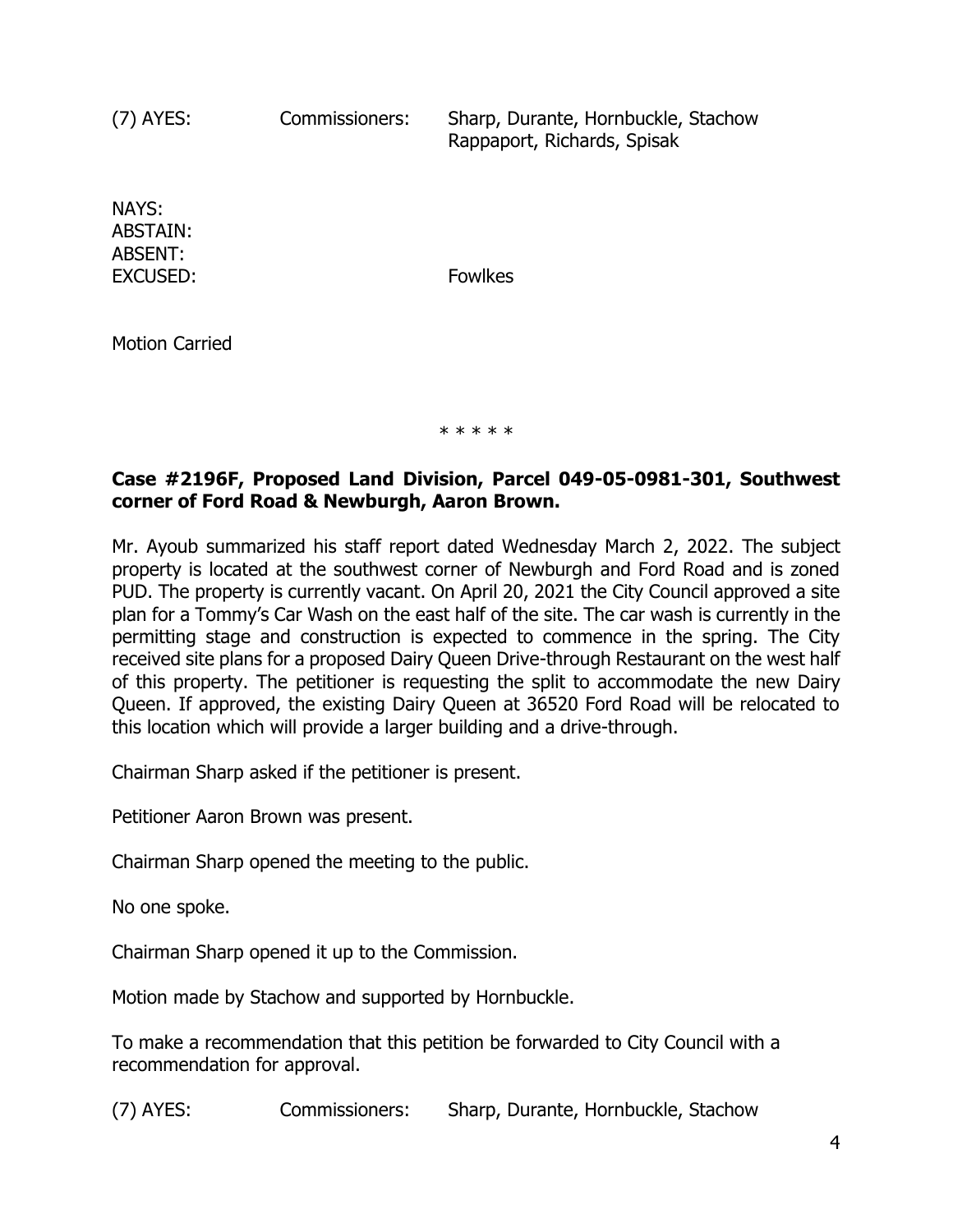(7) AYES: Commissioners: Sharp, Durante, Hornbuckle, Stachow Rappaport, Richards, Spisak

NAYS: ABSTAIN: ABSENT: EXCUSED: Fowlkes

Motion Carried

\* \* \* \* \*

# **Case #2196F, Proposed Land Division, Parcel 049-05-0981-301, Southwest corner of Ford Road & Newburgh, Aaron Brown.**

Mr. Ayoub summarized his staff report dated Wednesday March 2, 2022. The subject property is located at the southwest corner of Newburgh and Ford Road and is zoned PUD. The property is currently vacant. On April 20, 2021 the City Council approved a site plan for a Tommy's Car Wash on the east half of the site. The car wash is currently in the permitting stage and construction is expected to commence in the spring. The City received site plans for a proposed Dairy Queen Drive-through Restaurant on the west half of this property. The petitioner is requesting the split to accommodate the new Dairy Queen. If approved, the existing Dairy Queen at 36520 Ford Road will be relocated to this location which will provide a larger building and a drive-through.

Chairman Sharp asked if the petitioner is present.

Petitioner Aaron Brown was present.

Chairman Sharp opened the meeting to the public.

No one spoke.

Chairman Sharp opened it up to the Commission.

Motion made by Stachow and supported by Hornbuckle.

To make a recommendation that this petition be forwarded to City Council with a recommendation for approval.

(7) AYES: Commissioners: Sharp, Durante, Hornbuckle, Stachow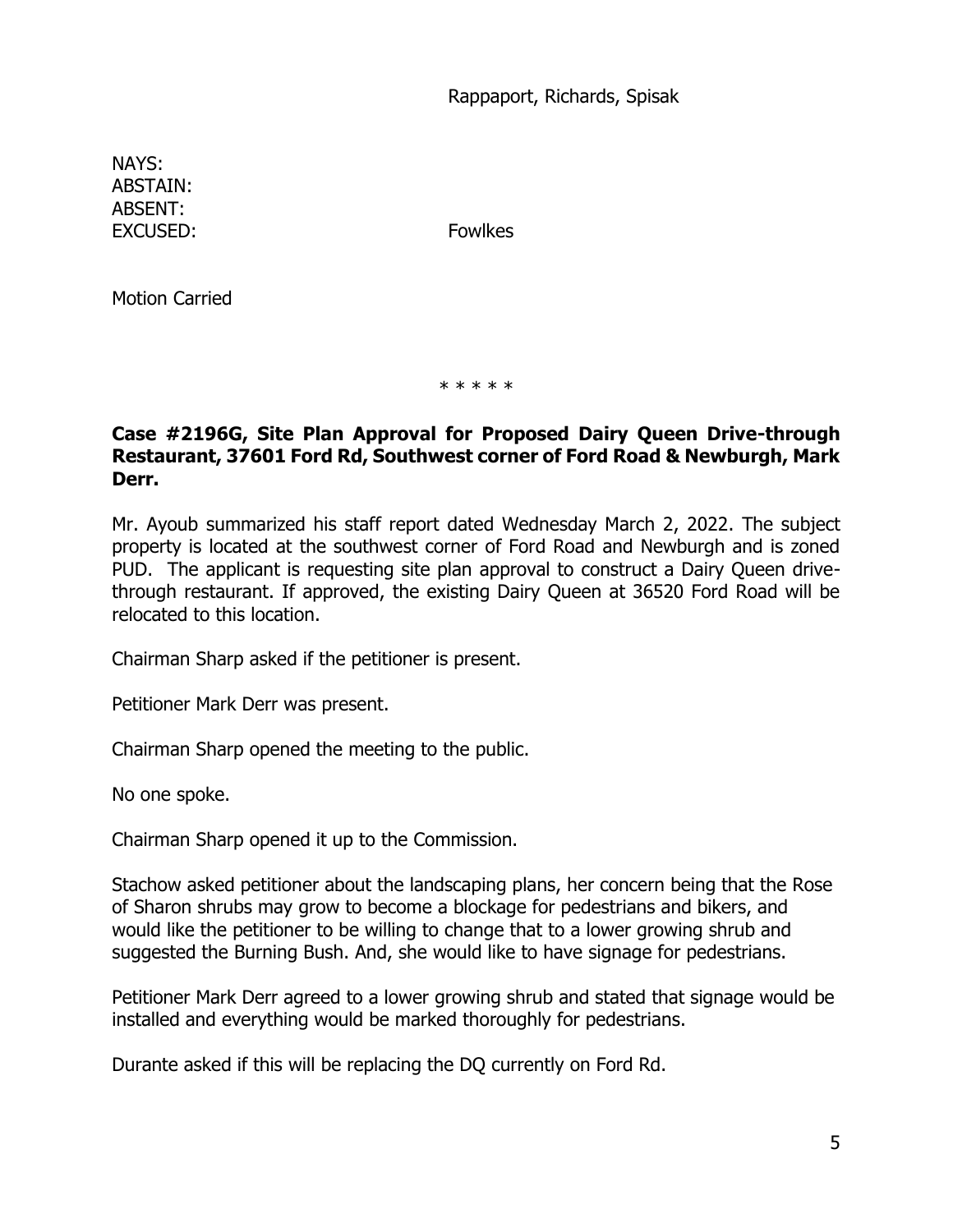Rappaport, Richards, Spisak

NAYS: ABSTAIN: ABSENT: EXCUSED: Fowlkes

Motion Carried

\* \* \* \* \*

#### **Case #2196G, Site Plan Approval for Proposed Dairy Queen Drive-through Restaurant, 37601 Ford Rd, Southwest corner of Ford Road & Newburgh, Mark Derr.**

Mr. Ayoub summarized his staff report dated Wednesday March 2, 2022. The subject property is located at the southwest corner of Ford Road and Newburgh and is zoned PUD. The applicant is requesting site plan approval to construct a Dairy Queen drivethrough restaurant. If approved, the existing Dairy Queen at 36520 Ford Road will be relocated to this location.

Chairman Sharp asked if the petitioner is present.

Petitioner Mark Derr was present.

Chairman Sharp opened the meeting to the public.

No one spoke.

Chairman Sharp opened it up to the Commission.

Stachow asked petitioner about the landscaping plans, her concern being that the Rose of Sharon shrubs may grow to become a blockage for pedestrians and bikers, and would like the petitioner to be willing to change that to a lower growing shrub and suggested the Burning Bush. And, she would like to have signage for pedestrians.

Petitioner Mark Derr agreed to a lower growing shrub and stated that signage would be installed and everything would be marked thoroughly for pedestrians.

Durante asked if this will be replacing the DQ currently on Ford Rd.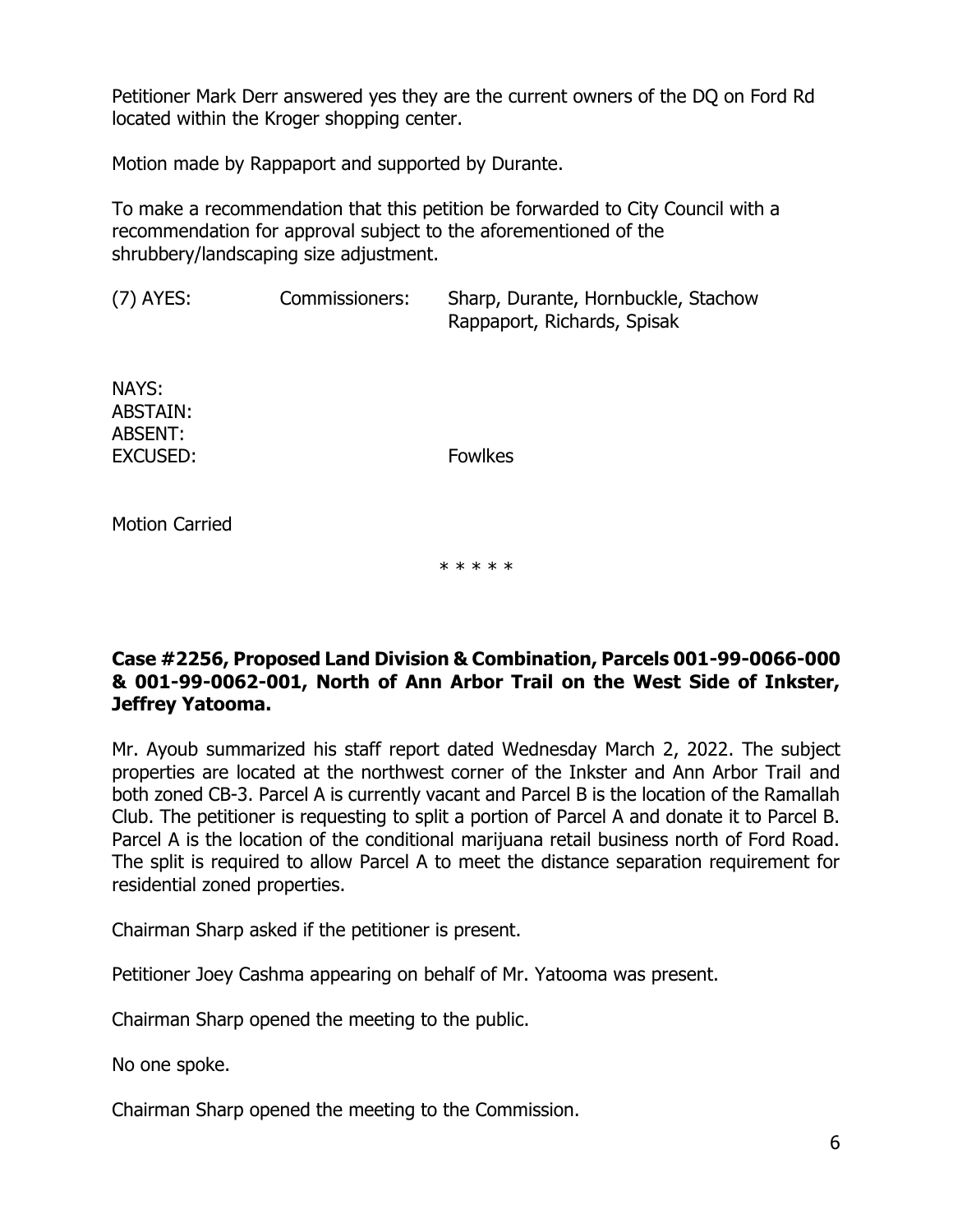Petitioner Mark Derr answered yes they are the current owners of the DQ on Ford Rd located within the Kroger shopping center.

Motion made by Rappaport and supported by Durante.

To make a recommendation that this petition be forwarded to City Council with a recommendation for approval subject to the aforementioned of the shrubbery/landscaping size adjustment.

(7) AYES: Commissioners: Sharp, Durante, Hornbuckle, Stachow Rappaport, Richards, Spisak

NAYS: ABSTAIN: ABSENT: EXCUSED: Fowlkes

Motion Carried

\* \* \* \* \*

### **Case #2256, Proposed Land Division & Combination, Parcels 001-99-0066-000 & 001-99-0062-001, North of Ann Arbor Trail on the West Side of Inkster, Jeffrey Yatooma.**

Mr. Ayoub summarized his staff report dated Wednesday March 2, 2022. The subject properties are located at the northwest corner of the Inkster and Ann Arbor Trail and both zoned CB-3. Parcel A is currently vacant and Parcel B is the location of the Ramallah Club. The petitioner is requesting to split a portion of Parcel A and donate it to Parcel B. Parcel A is the location of the conditional marijuana retail business north of Ford Road. The split is required to allow Parcel A to meet the distance separation requirement for residential zoned properties.

Chairman Sharp asked if the petitioner is present.

Petitioner Joey Cashma appearing on behalf of Mr. Yatooma was present.

Chairman Sharp opened the meeting to the public.

No one spoke.

Chairman Sharp opened the meeting to the Commission.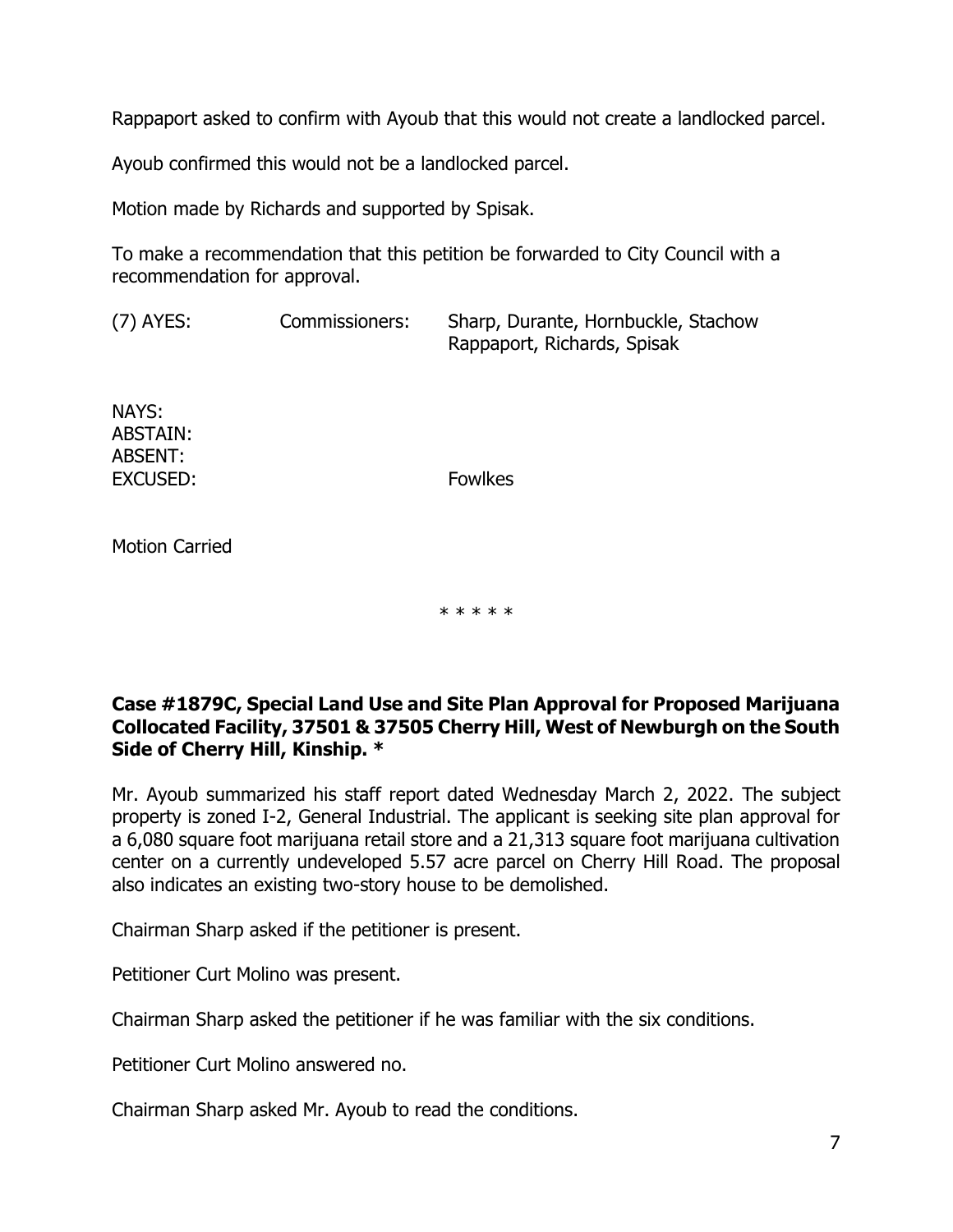Rappaport asked to confirm with Ayoub that this would not create a landlocked parcel.

Ayoub confirmed this would not be a landlocked parcel.

Motion made by Richards and supported by Spisak.

To make a recommendation that this petition be forwarded to City Council with a recommendation for approval.

(7) AYES: Commissioners: Sharp, Durante, Hornbuckle, Stachow Rappaport, Richards, Spisak

NAYS: ABSTAIN: ABSENT: EXCUSED: Fowlkes

Motion Carried

\* \* \* \* \*

### **Case #1879C, Special Land Use and Site Plan Approval for Proposed Marijuana Collocated Facility, 37501 & 37505 Cherry Hill, West of Newburgh on the South Side of Cherry Hill, Kinship. \***

Mr. Ayoub summarized his staff report dated Wednesday March 2, 2022. The subject property is zoned I-2, General Industrial. The applicant is seeking site plan approval for a 6,080 square foot marijuana retail store and a 21,313 square foot marijuana cultivation center on a currently undeveloped 5.57 acre parcel on Cherry Hill Road. The proposal also indicates an existing two-story house to be demolished.

Chairman Sharp asked if the petitioner is present.

Petitioner Curt Molino was present.

Chairman Sharp asked the petitioner if he was familiar with the six conditions.

Petitioner Curt Molino answered no.

Chairman Sharp asked Mr. Ayoub to read the conditions.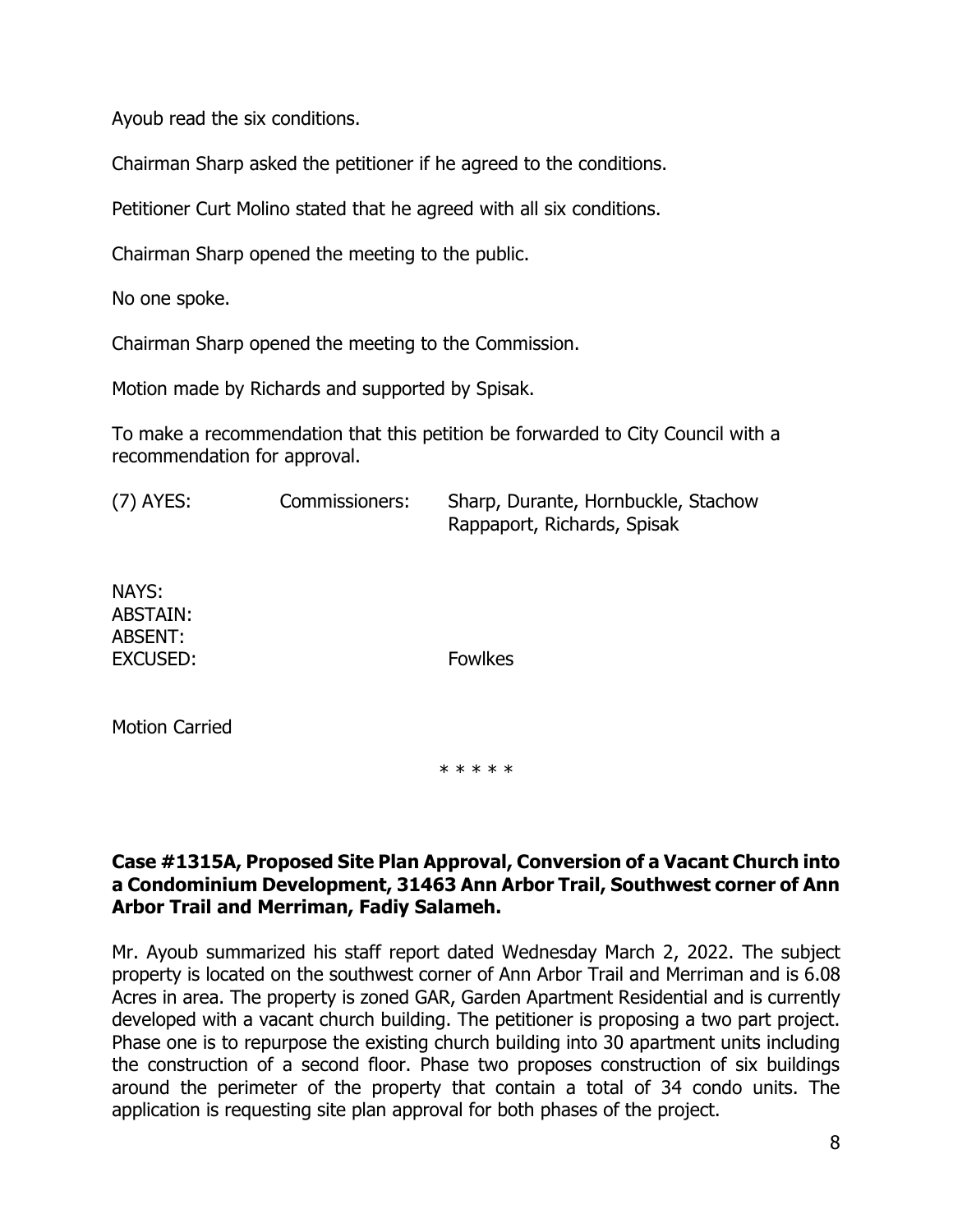Ayoub read the six conditions.

Chairman Sharp asked the petitioner if he agreed to the conditions.

Petitioner Curt Molino stated that he agreed with all six conditions.

Chairman Sharp opened the meeting to the public.

No one spoke.

Chairman Sharp opened the meeting to the Commission.

Motion made by Richards and supported by Spisak.

To make a recommendation that this petition be forwarded to City Council with a recommendation for approval.

| (7) AYES: | Commissioners: | Sharp, Durante, Hornbuckle, Stachow |
|-----------|----------------|-------------------------------------|
|           |                | Rappaport, Richards, Spisak         |

NAYS: ABSTAIN: ABSENT: EXCUSED: Fowlkes

Motion Carried

\* \* \* \* \*

#### **Case #1315A, Proposed Site Plan Approval, Conversion of a Vacant Church into a Condominium Development, 31463 Ann Arbor Trail, Southwest corner of Ann Arbor Trail and Merriman, Fadiy Salameh.**

Mr. Ayoub summarized his staff report dated Wednesday March 2, 2022. The subject property is located on the southwest corner of Ann Arbor Trail and Merriman and is 6.08 Acres in area. The property is zoned GAR, Garden Apartment Residential and is currently developed with a vacant church building. The petitioner is proposing a two part project. Phase one is to repurpose the existing church building into 30 apartment units including the construction of a second floor. Phase two proposes construction of six buildings around the perimeter of the property that contain a total of 34 condo units. The application is requesting site plan approval for both phases of the project.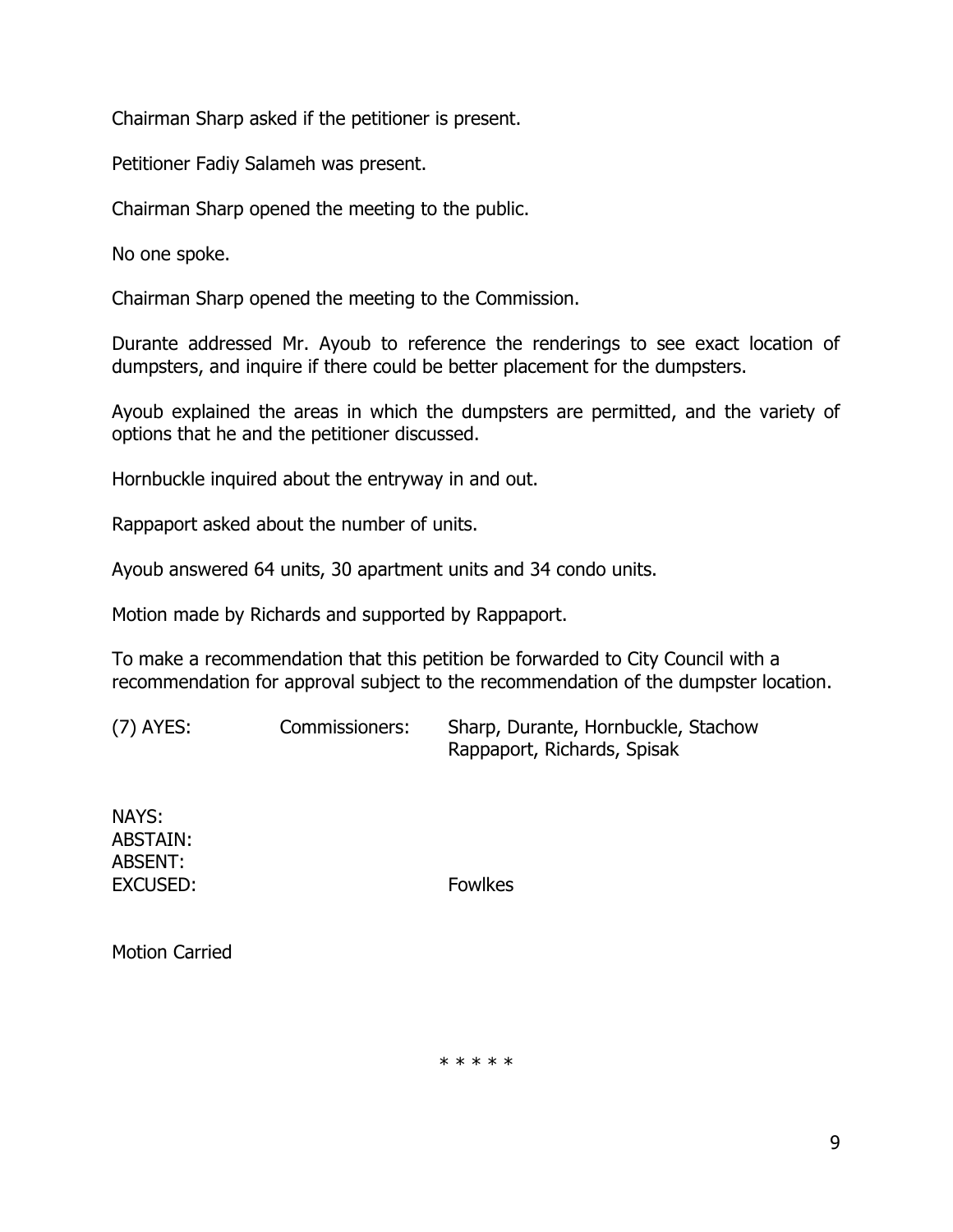Chairman Sharp asked if the petitioner is present.

Petitioner Fadiy Salameh was present.

Chairman Sharp opened the meeting to the public.

No one spoke.

Chairman Sharp opened the meeting to the Commission.

Durante addressed Mr. Ayoub to reference the renderings to see exact location of dumpsters, and inquire if there could be better placement for the dumpsters.

Ayoub explained the areas in which the dumpsters are permitted, and the variety of options that he and the petitioner discussed.

Hornbuckle inquired about the entryway in and out.

Rappaport asked about the number of units.

Ayoub answered 64 units, 30 apartment units and 34 condo units.

Motion made by Richards and supported by Rappaport.

To make a recommendation that this petition be forwarded to City Council with a recommendation for approval subject to the recommendation of the dumpster location.

(7) AYES: Commissioners: Sharp, Durante, Hornbuckle, Stachow Rappaport, Richards, Spisak

NAYS: ABSTAIN: ABSENT: EXCUSED: Fowlkes

Motion Carried

\* \* \* \* \*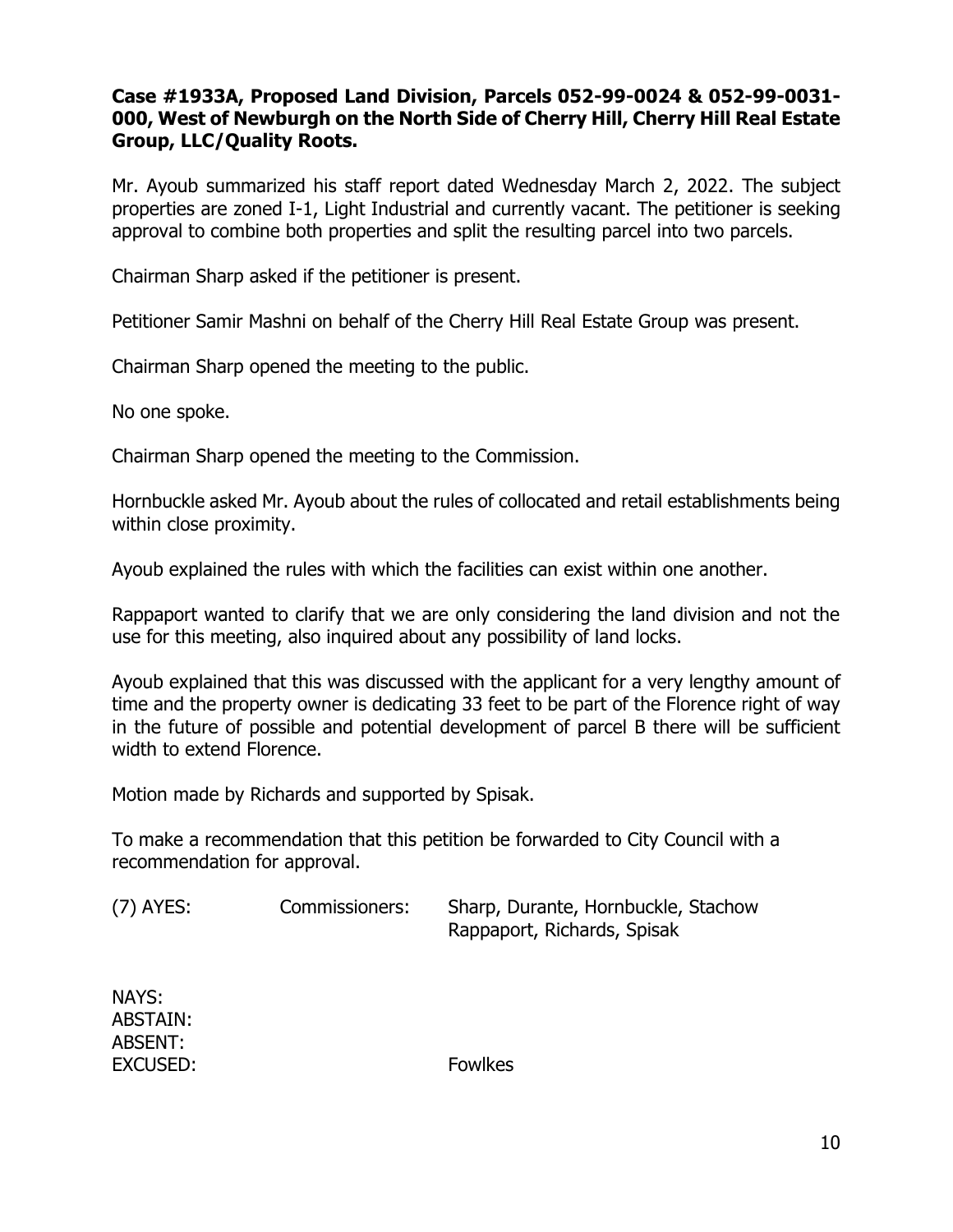## **Case #1933A, Proposed Land Division, Parcels 052-99-0024 & 052-99-0031- 000, West of Newburgh on the North Side of Cherry Hill, Cherry Hill Real Estate Group, LLC/Quality Roots.**

Mr. Ayoub summarized his staff report dated Wednesday March 2, 2022. The subject properties are zoned I-1, Light Industrial and currently vacant. The petitioner is seeking approval to combine both properties and split the resulting parcel into two parcels.

Chairman Sharp asked if the petitioner is present.

Petitioner Samir Mashni on behalf of the Cherry Hill Real Estate Group was present.

Chairman Sharp opened the meeting to the public.

No one spoke.

Chairman Sharp opened the meeting to the Commission.

Hornbuckle asked Mr. Ayoub about the rules of collocated and retail establishments being within close proximity.

Ayoub explained the rules with which the facilities can exist within one another.

Rappaport wanted to clarify that we are only considering the land division and not the use for this meeting, also inquired about any possibility of land locks.

Ayoub explained that this was discussed with the applicant for a very lengthy amount of time and the property owner is dedicating 33 feet to be part of the Florence right of way in the future of possible and potential development of parcel B there will be sufficient width to extend Florence.

Motion made by Richards and supported by Spisak.

To make a recommendation that this petition be forwarded to City Council with a recommendation for approval.

(7) AYES: Commissioners: Sharp, Durante, Hornbuckle, Stachow Rappaport, Richards, Spisak

NAYS: ABSTAIN: ABSENT: EXCUSED: Fowlkes